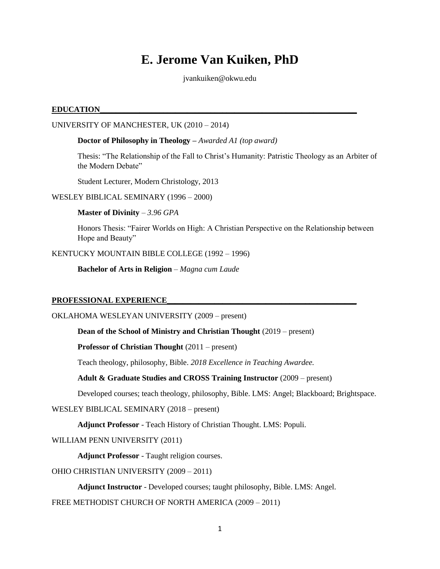# **E. Jerome Van Kuiken, PhD**

jvankuiken@okwu.edu

## **EDUCATION\_\_\_\_\_\_\_\_\_\_\_\_\_\_\_\_\_\_\_\_\_\_\_\_\_\_\_\_\_\_\_\_\_\_\_\_\_\_\_\_\_\_\_\_\_\_\_\_\_\_\_\_\_\_\_\_\_\_\_\_\_\_\_\_\_**

UNIVERSITY OF MANCHESTER, UK (2010 – 2014)

**Doctor of Philosophy in Theology –** *Awarded A1 (top award)*

Thesis: "The Relationship of the Fall to Christ's Humanity: Patristic Theology as an Arbiter of the Modern Debate"

Student Lecturer, Modern Christology, 2013

WESLEY BIBLICAL SEMINARY (1996 – 2000)

**Master of Divinity** *– 3.96 GPA*

Honors Thesis: "Fairer Worlds on High: A Christian Perspective on the Relationship between Hope and Beauty"

KENTUCKY MOUNTAIN BIBLE COLLEGE (1992 – 1996)

**Bachelor of Arts in Religion** *– Magna cum Laude*

# **PROFESSIONAL EXPERIENCE\_\_\_\_\_\_\_\_\_\_\_\_\_\_\_\_\_\_\_\_\_\_\_\_\_\_\_\_\_\_\_\_\_\_\_\_\_\_\_\_\_\_\_\_\_\_\_\_**

OKLAHOMA WESLEYAN UNIVERSITY (2009 – present)

**Dean of the School of Ministry and Christian Thought** (2019 – present)

**Professor of Christian Thought** (2011 – present)

Teach theology, philosophy, Bible. *2018 Excellence in Teaching Awardee.*

**Adult & Graduate Studies and CROSS Training Instructor** (2009 – present)

Developed courses; teach theology, philosophy, Bible. LMS: Angel; Blackboard; Brightspace.

WESLEY BIBLICAL SEMINARY (2018 – present)

**Adjunct Professor** - Teach History of Christian Thought. LMS: Populi.

WILLIAM PENN UNIVERSITY (2011)

**Adjunct Professor** - Taught religion courses.

OHIO CHRISTIAN UNIVERSITY (2009 – 2011)

**Adjunct Instructor** - Developed courses; taught philosophy, Bible. LMS: Angel.

FREE METHODIST CHURCH OF NORTH AMERICA (2009 – 2011)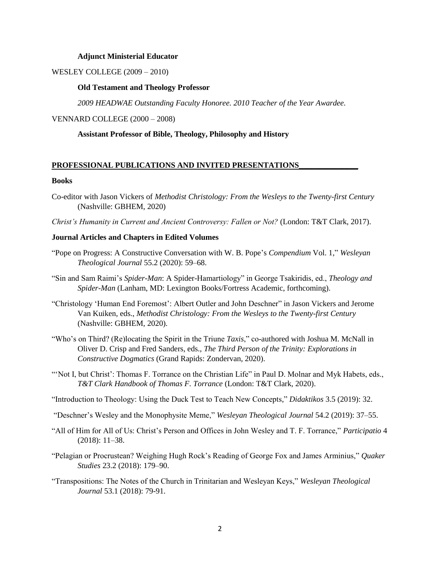#### **Adjunct Ministerial Educator**

WESLEY COLLEGE (2009 – 2010)

#### **Old Testament and Theology Professor**

*2009 HEADWAE Outstanding Faculty Honoree. 2010 Teacher of the Year Awardee.*

#### VENNARD COLLEGE (2000 – 2008)

## **Assistant Professor of Bible, Theology, Philosophy and History**

## **PROFESSIONAL PUBLICATIONS AND INVITED PRESENTATIONS\_\_\_\_\_\_\_\_\_\_\_\_\_\_\_**

#### **Books**

- Co-editor with Jason Vickers of *Methodist Christology: From the Wesleys to the Twenty-first Century*  (Nashville: GBHEM, 2020)
- *Christ's Humanity in Current and Ancient Controversy: Fallen or Not?* (London: T&T Clark, 2017).

#### **Journal Articles and Chapters in Edited Volumes**

- "Pope on Progress: A Constructive Conversation with W. B. Pope's *Compendium* Vol. 1," *Wesleyan Theological Journal* 55.2 (2020): 59–68.
- "Sin and Sam Raimi's *Spider-Man*: A Spider-Hamartiology" in George Tsakiridis, ed., *Theology and Spider-Man* (Lanham, MD: Lexington Books/Fortress Academic, forthcoming).
- "Christology 'Human End Foremost': Albert Outler and John Deschner" in Jason Vickers and Jerome Van Kuiken, eds., *Methodist Christology: From the Wesleys to the Twenty-first Century*  (Nashville: GBHEM, 2020).
- "Who's on Third? (Re)locating the Spirit in the Triune *Taxis*," co-authored with Joshua M. McNall in Oliver D. Crisp and Fred Sanders, eds., *The Third Person of the Trinity: Explorations in Constructive Dogmatics* (Grand Rapids: Zondervan, 2020).
- "'Not I, but Christ': Thomas F. Torrance on the Christian Life" in Paul D. Molnar and Myk Habets, eds., *T&T Clark Handbook of Thomas F. Torrance* (London: T&T Clark, 2020).
- "Introduction to Theology: Using the Duck Test to Teach New Concepts," *Didaktikos* 3.5 (2019): 32.
- "Deschner's Wesley and the Monophysite Meme," *Wesleyan Theological Journal* 54.2 (2019): 37–55.
- "All of Him for All of Us: Christ's Person and Offices in John Wesley and T. F. Torrance," *Participatio* 4 (2018): 11–38.
- "Pelagian or Procrustean? Weighing Hugh Rock's Reading of George Fox and James Arminius," *Quaker Studies* 23.2 (2018): 179–90.
- "Transpositions: The Notes of the Church in Trinitarian and Wesleyan Keys," *Wesleyan Theological Journal* 53.1 (2018): 79-91.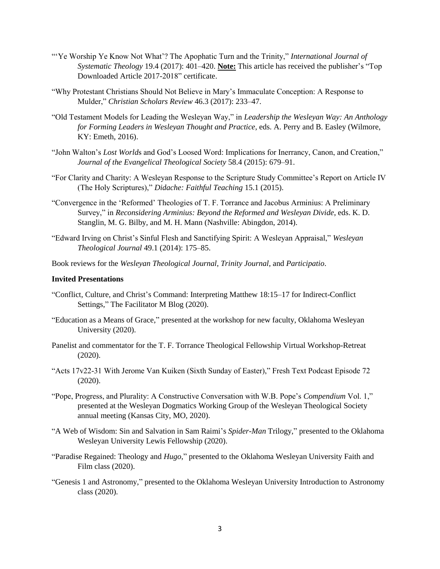- "'Ye Worship Ye Know Not What'? The Apophatic Turn and the Trinity," *International Journal of Systematic Theology* 19.4 (2017): 401–420. **Note:** This article has received the publisher's "Top Downloaded Article 2017-2018" certificate.
- "Why Protestant Christians Should Not Believe in Mary's Immaculate Conception: A Response to Mulder," *Christian Scholars Review* 46.3 (2017): 233–47.
- "Old Testament Models for Leading the Wesleyan Way," in *Leadership the Wesleyan Way: An Anthology for Forming Leaders in Wesleyan Thought and Practice*, eds. A. Perry and B. Easley (Wilmore, KY: Emeth, 2016).
- "John Walton's *Lost World*s and God's Loosed Word: Implications for Inerrancy, Canon, and Creation," *Journal of the Evangelical Theological Society* 58.4 (2015): 679–91.
- "For Clarity and Charity: A Wesleyan Response to the Scripture Study Committee's Report on Article IV (The Holy Scriptures)," *Didache: Faithful Teaching* 15.1 (2015).
- "Convergence in the 'Reformed' Theologies of T. F. Torrance and Jacobus Arminius: A Preliminary Survey," in *Reconsidering Arminius: Beyond the Reformed and Wesleyan Divide*, eds. K. D. Stanglin, M. G. Bilby, and M. H. Mann (Nashville: Abingdon, 2014).
- "Edward Irving on Christ's Sinful Flesh and Sanctifying Spirit: A Wesleyan Appraisal," *Wesleyan Theological Journal* 49.1 (2014): 175–85.

Book reviews for the *Wesleyan Theological Journal*, *Trinity Journal*, and *Participatio*.

#### **Invited Presentations**

- "Conflict, Culture, and Christ's Command: Interpreting Matthew 18:15–17 for Indirect-Conflict Settings," The Facilitator M Blog (2020).
- "Education as a Means of Grace," presented at the workshop for new faculty, Oklahoma Wesleyan University (2020).
- Panelist and commentator for the T. F. Torrance Theological Fellowship Virtual Workshop-Retreat (2020).
- "Acts 17v22-31 With Jerome Van Kuiken (Sixth Sunday of Easter)," Fresh Text Podcast Episode 72 (2020).
- "Pope, Progress, and Plurality: A Constructive Conversation with W.B. Pope's *Compendium* Vol. 1," presented at the Wesleyan Dogmatics Working Group of the Wesleyan Theological Society annual meeting (Kansas City, MO, 2020).
- "A Web of Wisdom: Sin and Salvation in Sam Raimi's *Spider-Man* Trilogy," presented to the Oklahoma Wesleyan University Lewis Fellowship (2020).
- "Paradise Regained: Theology and *Hugo*," presented to the Oklahoma Wesleyan University Faith and Film class (2020).
- "Genesis 1 and Astronomy," presented to the Oklahoma Wesleyan University Introduction to Astronomy class (2020).